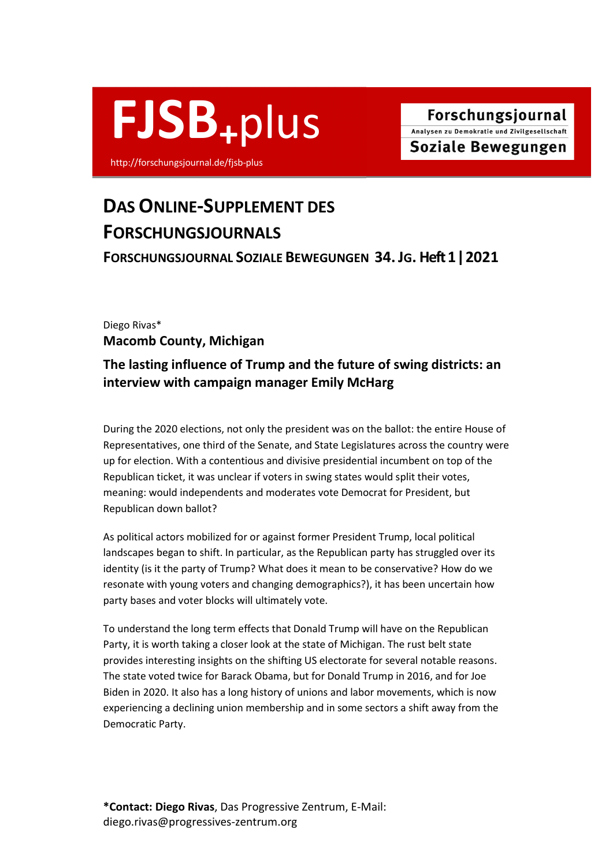

http://forschungsjournal.de/fjsb-plus

# DAS ONLINE-SUPPLEMENT DES FORSCHUNGSJOURNALS

FORSCHUNGSJOURNAL SOZIALE BEWEGUNGEN 34. JG. Heft 1 ǀ 2021

## Diego Rivas\* Macomb County, Michigan

## The lasting influence of Trump and the future of swing districts: an interview with campaign manager Emily McHarg

During the 2020 elections, not only the president was on the ballot: the entire House of Representatives, one third of the Senate, and State Legislatures across the country were up for election. With a contentious and divisive presidential incumbent on top of the Republican ticket, it was unclear if voters in swing states would split their votes, meaning: would independents and moderates vote Democrat for President, but Republican down ballot?

As political actors mobilized for or against former President Trump, local political landscapes began to shift. In particular, as the Republican party has struggled over its identity (is it the party of Trump? What does it mean to be conservative? How do we resonate with young voters and changing demographics?), it has been uncertain how party bases and voter blocks will ultimately vote.

To understand the long term effects that Donald Trump will have on the Republican Party, it is worth taking a closer look at the state of Michigan. The rust belt state provides interesting insights on the shifting US electorate for several notable reasons. The state voted twice for Barack Obama, but for Donald Trump in 2016, and for Joe Biden in 2020. It also has a long history of unions and labor movements, which is now experiencing a declining union membership and in some sectors a shift away from the Democratic Party.

\*Contact: Diego Rivas, Das Progressive Zentrum, E-Mail: diego.rivas@progressives-zentrum.org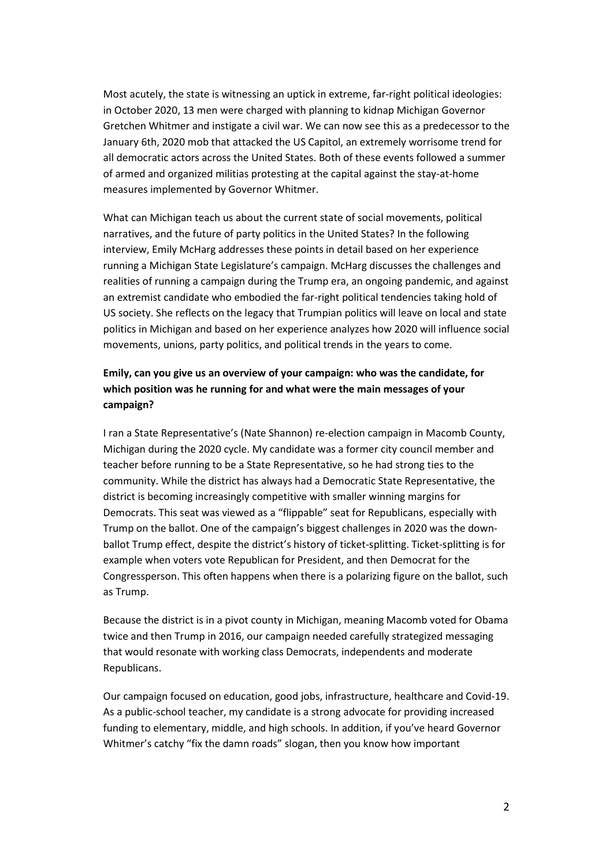Most acutely, the state is witnessing an uptick in extreme, far-right political ideologies: in October 2020, 13 men were charged with planning to kidnap Michigan Governor Gretchen Whitmer and instigate a civil war. We can now see this as a predecessor to the January 6th, 2020 mob that attacked the US Capitol, an extremely worrisome trend for all democratic actors across the United States. Both of these events followed a summer of armed and organized militias protesting at the capital against the stay-at-home measures implemented by Governor Whitmer.

What can Michigan teach us about the current state of social movements, political narratives, and the future of party politics in the United States? In the following interview, Emily McHarg addresses these points in detail based on her experience running a Michigan State Legislature's campaign. McHarg discusses the challenges and realities of running a campaign during the Trump era, an ongoing pandemic, and against an extremist candidate who embodied the far-right political tendencies taking hold of US society. She reflects on the legacy that Trumpian politics will leave on local and state politics in Michigan and based on her experience analyzes how 2020 will influence social movements, unions, party politics, and political trends in the years to come.

## Emily, can you give us an overview of your campaign: who was the candidate, for which position was he running for and what were the main messages of your campaign?

I ran a State Representative's (Nate Shannon) re-election campaign in Macomb County, Michigan during the 2020 cycle. My candidate was a former city council member and teacher before running to be a State Representative, so he had strong ties to the community. While the district has always had a Democratic State Representative, the district is becoming increasingly competitive with smaller winning margins for Democrats. This seat was viewed as a "flippable" seat for Republicans, especially with Trump on the ballot. One of the campaign's biggest challenges in 2020 was the downballot Trump effect, despite the district's history of ticket-splitting. Ticket-splitting is for example when voters vote Republican for President, and then Democrat for the Congressperson. This often happens when there is a polarizing figure on the ballot, such as Trump.

Because the district is in a pivot county in Michigan, meaning Macomb voted for Obama twice and then Trump in 2016, our campaign needed carefully strategized messaging that would resonate with working class Democrats, independents and moderate Republicans.

Our campaign focused on education, good jobs, infrastructure, healthcare and Covid-19. As a public-school teacher, my candidate is a strong advocate for providing increased funding to elementary, middle, and high schools. In addition, if you've heard Governor Whitmer's catchy "fix the damn roads" slogan, then you know how important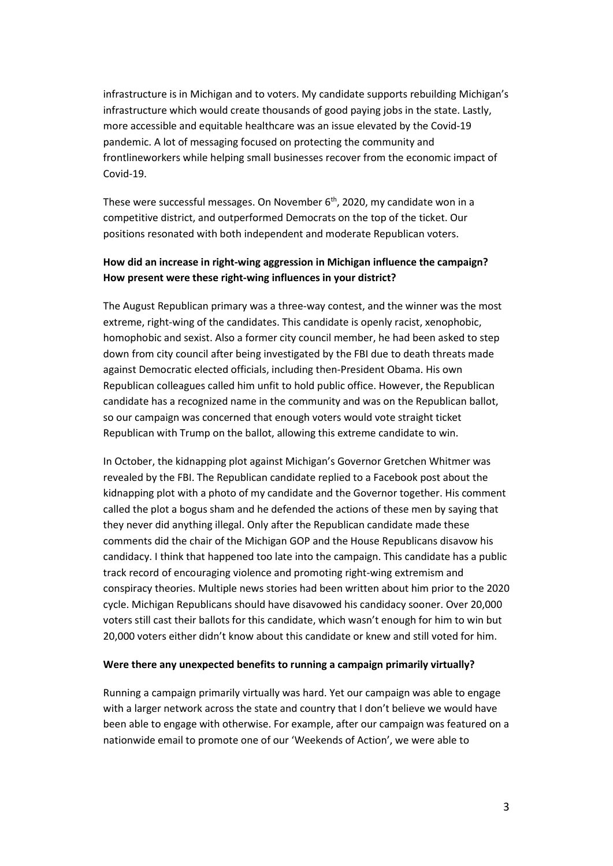infrastructure is in Michigan and to voters. My candidate supports rebuilding Michigan's infrastructure which would create thousands of good paying jobs in the state. Lastly, more accessible and equitable healthcare was an issue elevated by the Covid-19 pandemic. A lot of messaging focused on protecting the community and frontlineworkers while helping small businesses recover from the economic impact of Covid-19.

These were successful messages. On November 6<sup>th</sup>, 2020, my candidate won in a competitive district, and outperformed Democrats on the top of the ticket. Our positions resonated with both independent and moderate Republican voters.

## How did an increase in right-wing aggression in Michigan influence the campaign? How present were these right-wing influences in your district?

The August Republican primary was a three-way contest, and the winner was the most extreme, right-wing of the candidates. This candidate is openly racist, xenophobic, homophobic and sexist. Also a former city council member, he had been asked to step down from city council after being investigated by the FBI due to death threats made against Democratic elected officials, including then-President Obama. His own Republican colleagues called him unfit to hold public office. However, the Republican candidate has a recognized name in the community and was on the Republican ballot, so our campaign was concerned that enough voters would vote straight ticket Republican with Trump on the ballot, allowing this extreme candidate to win.

In October, the kidnapping plot against Michigan's Governor Gretchen Whitmer was revealed by the FBI. The Republican candidate replied to a Facebook post about the kidnapping plot with a photo of my candidate and the Governor together. His comment called the plot a bogus sham and he defended the actions of these men by saying that they never did anything illegal. Only after the Republican candidate made these comments did the chair of the Michigan GOP and the House Republicans disavow his candidacy. I think that happened too late into the campaign. This candidate has a public track record of encouraging violence and promoting right-wing extremism and conspiracy theories. Multiple news stories had been written about him prior to the 2020 cycle. Michigan Republicans should have disavowed his candidacy sooner. Over 20,000 voters still cast their ballots for this candidate, which wasn't enough for him to win but 20,000 voters either didn't know about this candidate or knew and still voted for him.

#### Were there any unexpected benefits to running a campaign primarily virtually?

Running a campaign primarily virtually was hard. Yet our campaign was able to engage with a larger network across the state and country that I don't believe we would have been able to engage with otherwise. For example, after our campaign was featured on a nationwide email to promote one of our 'Weekends of Action', we were able to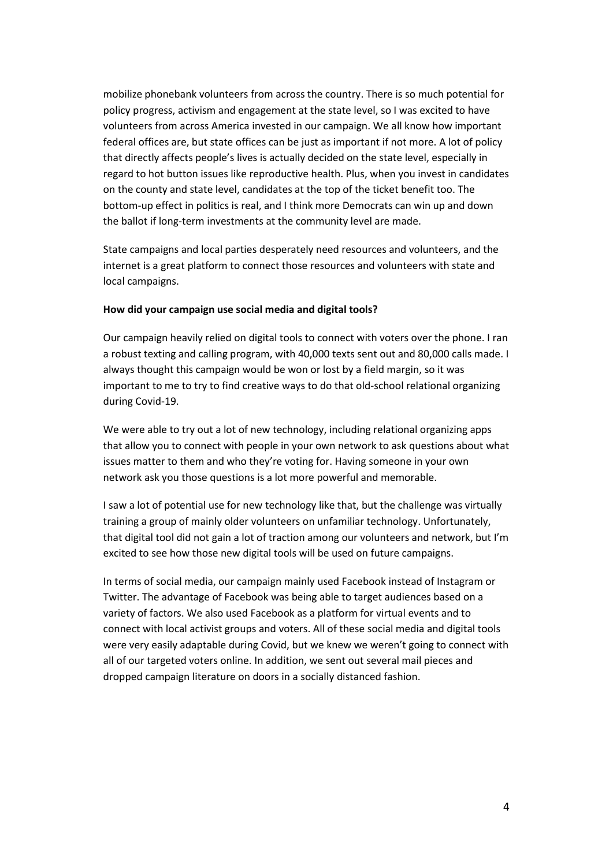mobilize phonebank volunteers from across the country. There is so much potential for policy progress, activism and engagement at the state level, so I was excited to have volunteers from across America invested in our campaign. We all know how important federal offices are, but state offices can be just as important if not more. A lot of policy that directly affects people's lives is actually decided on the state level, especially in regard to hot button issues like reproductive health. Plus, when you invest in candidates on the county and state level, candidates at the top of the ticket benefit too. The bottom-up effect in politics is real, and I think more Democrats can win up and down the ballot if long-term investments at the community level are made.

State campaigns and local parties desperately need resources and volunteers, and the internet is a great platform to connect those resources and volunteers with state and local campaigns.

#### How did your campaign use social media and digital tools?

Our campaign heavily relied on digital tools to connect with voters over the phone. I ran a robust texting and calling program, with 40,000 texts sent out and 80,000 calls made. I always thought this campaign would be won or lost by a field margin, so it was important to me to try to find creative ways to do that old-school relational organizing during Covid-19.

We were able to try out a lot of new technology, including relational organizing apps that allow you to connect with people in your own network to ask questions about what issues matter to them and who they're voting for. Having someone in your own network ask you those questions is a lot more powerful and memorable.

I saw a lot of potential use for new technology like that, but the challenge was virtually training a group of mainly older volunteers on unfamiliar technology. Unfortunately, that digital tool did not gain a lot of traction among our volunteers and network, but I'm excited to see how those new digital tools will be used on future campaigns.

In terms of social media, our campaign mainly used Facebook instead of Instagram or Twitter. The advantage of Facebook was being able to target audiences based on a variety of factors. We also used Facebook as a platform for virtual events and to connect with local activist groups and voters. All of these social media and digital tools were very easily adaptable during Covid, but we knew we weren't going to connect with all of our targeted voters online. In addition, we sent out several mail pieces and dropped campaign literature on doors in a socially distanced fashion.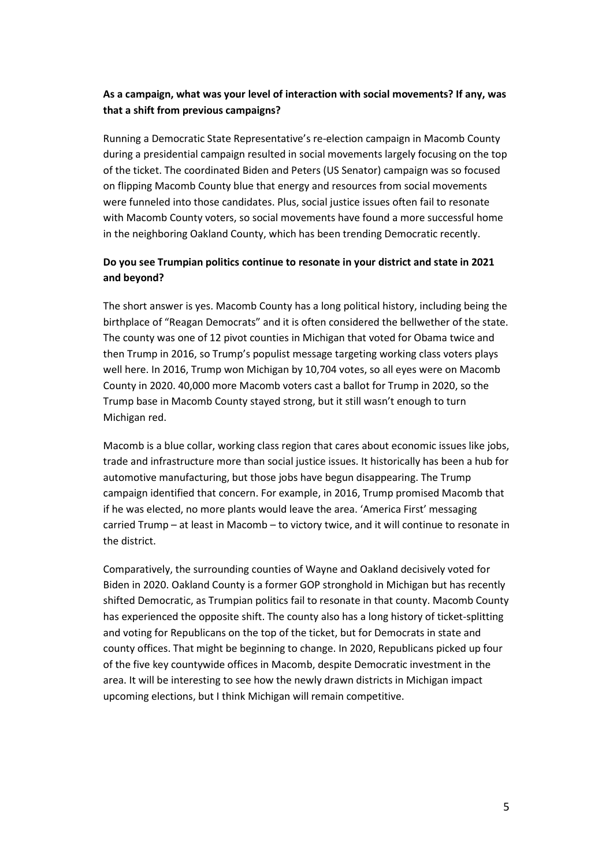## As a campaign, what was your level of interaction with social movements? If any, was that a shift from previous campaigns?

Running a Democratic State Representative's re-election campaign in Macomb County during a presidential campaign resulted in social movements largely focusing on the top of the ticket. The coordinated Biden and Peters (US Senator) campaign was so focused on flipping Macomb County blue that energy and resources from social movements were funneled into those candidates. Plus, social justice issues often fail to resonate with Macomb County voters, so social movements have found a more successful home in the neighboring Oakland County, which has been trending Democratic recently.

## Do you see Trumpian politics continue to resonate in your district and state in 2021 and beyond?

The short answer is yes. Macomb County has a long political history, including being the birthplace of "Reagan Democrats" and it is often considered the bellwether of the state. The county was one of 12 pivot counties in Michigan that voted for Obama twice and then Trump in 2016, so Trump's populist message targeting working class voters plays well here. In 2016, Trump won Michigan by 10,704 votes, so all eyes were on Macomb County in 2020. 40,000 more Macomb voters cast a ballot for Trump in 2020, so the Trump base in Macomb County stayed strong, but it still wasn't enough to turn Michigan red.

Macomb is a blue collar, working class region that cares about economic issues like jobs, trade and infrastructure more than social justice issues. It historically has been a hub for automotive manufacturing, but those jobs have begun disappearing. The Trump campaign identified that concern. For example, in 2016, Trump promised Macomb that if he was elected, no more plants would leave the area. 'America First' messaging carried Trump – at least in Macomb – to victory twice, and it will continue to resonate in the district.

Comparatively, the surrounding counties of Wayne and Oakland decisively voted for Biden in 2020. Oakland County is a former GOP stronghold in Michigan but has recently shifted Democratic, as Trumpian politics fail to resonate in that county. Macomb County has experienced the opposite shift. The county also has a long history of ticket-splitting and voting for Republicans on the top of the ticket, but for Democrats in state and county offices. That might be beginning to change. In 2020, Republicans picked up four of the five key countywide offices in Macomb, despite Democratic investment in the area. It will be interesting to see how the newly drawn districts in Michigan impact upcoming elections, but I think Michigan will remain competitive.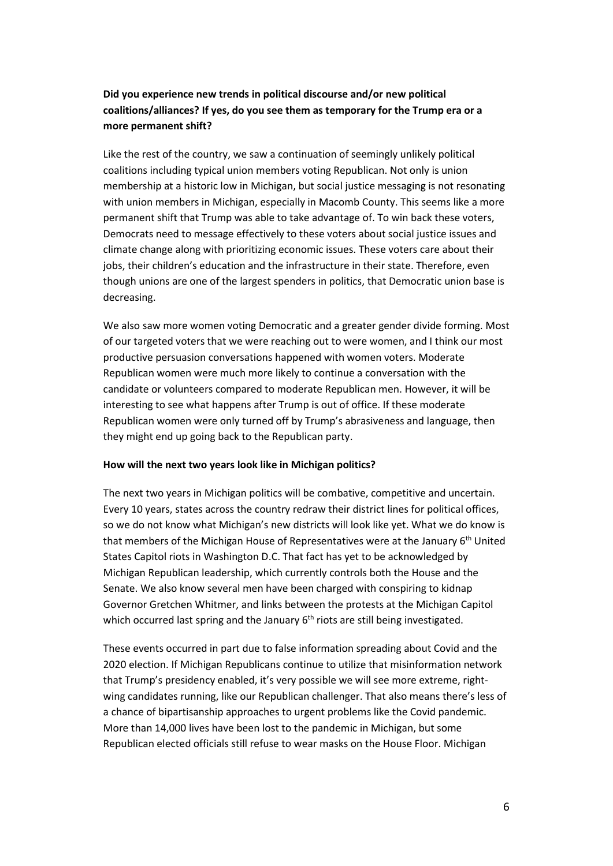## Did you experience new trends in political discourse and/or new political coalitions/alliances? If yes, do you see them as temporary for the Trump era or a more permanent shift?

Like the rest of the country, we saw a continuation of seemingly unlikely political coalitions including typical union members voting Republican. Not only is union membership at a historic low in Michigan, but social justice messaging is not resonating with union members in Michigan, especially in Macomb County. This seems like a more permanent shift that Trump was able to take advantage of. To win back these voters, Democrats need to message effectively to these voters about social justice issues and climate change along with prioritizing economic issues. These voters care about their jobs, their children's education and the infrastructure in their state. Therefore, even though unions are one of the largest spenders in politics, that Democratic union base is decreasing.

We also saw more women voting Democratic and a greater gender divide forming. Most of our targeted voters that we were reaching out to were women, and I think our most productive persuasion conversations happened with women voters. Moderate Republican women were much more likely to continue a conversation with the candidate or volunteers compared to moderate Republican men. However, it will be interesting to see what happens after Trump is out of office. If these moderate Republican women were only turned off by Trump's abrasiveness and language, then they might end up going back to the Republican party.

#### How will the next two years look like in Michigan politics?

The next two years in Michigan politics will be combative, competitive and uncertain. Every 10 years, states across the country redraw their district lines for political offices, so we do not know what Michigan's new districts will look like yet. What we do know is that members of the Michigan House of Representatives were at the January 6th United States Capitol riots in Washington D.C. That fact has yet to be acknowledged by Michigan Republican leadership, which currently controls both the House and the Senate. We also know several men have been charged with conspiring to kidnap Governor Gretchen Whitmer, and links between the protests at the Michigan Capitol which occurred last spring and the January  $6<sup>th</sup>$  riots are still being investigated.

These events occurred in part due to false information spreading about Covid and the 2020 election. If Michigan Republicans continue to utilize that misinformation network that Trump's presidency enabled, it's very possible we will see more extreme, rightwing candidates running, like our Republican challenger. That also means there's less of a chance of bipartisanship approaches to urgent problems like the Covid pandemic. More than 14,000 lives have been lost to the pandemic in Michigan, but some Republican elected officials still refuse to wear masks on the House Floor. Michigan